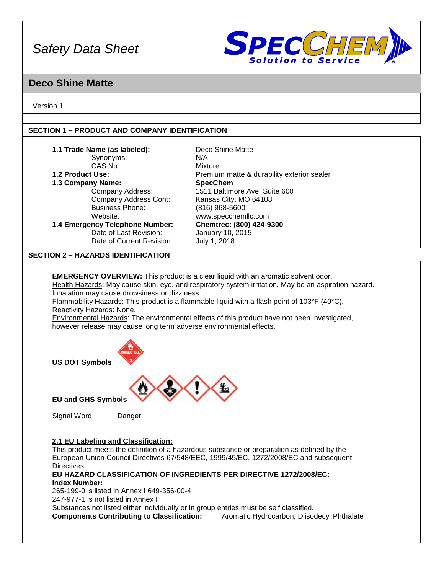

## **Deco Shine Matte**

Version 1

## **SECTION 1 – PRODUCT AND COMPANY IDENTIFICATION**

| 1.1 Trade Name (as labeled):                                       | Deco Shine Matte                                                                                     |
|--------------------------------------------------------------------|------------------------------------------------------------------------------------------------------|
| Synonyms:                                                          | N/A                                                                                                  |
| CAS No:                                                            | Mixture                                                                                              |
| 1.2 Product Use:                                                   | Premium matte & durability exterior sealer                                                           |
| 1.3 Company Name:                                                  | <b>SpecChem</b>                                                                                      |
| Company Address:                                                   | 1511 Baltimore Ave; Suite 600                                                                        |
| <b>Company Address Cont:</b>                                       | Kansas City, MO 64108                                                                                |
| <b>Business Phone:</b>                                             | (816) 968-5600                                                                                       |
| Website:                                                           | www.specchemllc.com                                                                                  |
| 1.4 Emergency Telephone Number:                                    | Chemtrec: (800) 424-9300                                                                             |
| Date of Last Revision:                                             | January 10, 2015                                                                                     |
| Date of Current Revision:                                          | July 1, 2018                                                                                         |
| <b>SECTION 2 - HAZARDS IDENTIFICATION</b>                          |                                                                                                      |
|                                                                    |                                                                                                      |
|                                                                    | <b>EMERGENCY OVERVIEW:</b> This product is a clear liquid with an aromatic solvent odor.             |
|                                                                    | Health Hazards: May cause skin, eye, and respiratory system irritation. May be an aspiration hazard. |
| Inhalation may cause drowsiness or dizziness.                      |                                                                                                      |
|                                                                    | Flammability Hazards: This product is a flammable liquid with a flash point of 103°F (40°C).         |
| Reactivity Hazards: None.                                          |                                                                                                      |
|                                                                    | Environmental Hazards: The environmental effects of this product have not been investigated,         |
| however release may cause long term adverse environmental effects. |                                                                                                      |
|                                                                    |                                                                                                      |
|                                                                    |                                                                                                      |
| <b>MBUSTII</b>                                                     |                                                                                                      |
|                                                                    |                                                                                                      |
| <b>US DOT Symbols</b>                                              |                                                                                                      |
|                                                                    |                                                                                                      |



**EU and GHS Symbols**

Signal Word Danger

## **2.1 EU Labeling and Classification:**

This product meets the definition of a hazardous substance or preparation as defined by the European Union Council Directives 67/548/EEC, 1999/45/EC, 1272/2008/EC and subsequent Directives.

### **EU HAZARD CLASSIFICATION OF INGREDIENTS PER DIRECTIVE 1272/2008/EC: Index Number:**

265-199-0 is listed in Annex I 649-356-00-4 247-977-1 is not listed in Annex I

Substances not listed either individually or in group entries must be self classified. **Components Contributing to Classification:** Aromatic Hydrocarbon, Diisodecyl Phthalate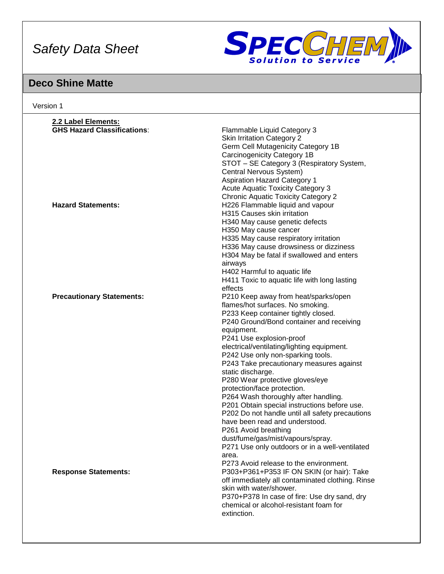

## **Deco Shine Matte**

| 2.2 Label Elements:                |                                                  |
|------------------------------------|--------------------------------------------------|
| <b>GHS Hazard Classifications:</b> | Flammable Liquid Category 3                      |
|                                    | <b>Skin Irritation Category 2</b>                |
|                                    | Germ Cell Mutagenicity Category 1B               |
|                                    | Carcinogenicity Category 1B                      |
|                                    | STOT - SE Category 3 (Respiratory System,        |
|                                    | Central Nervous System)                          |
|                                    | <b>Aspiration Hazard Category 1</b>              |
|                                    | <b>Acute Aquatic Toxicity Category 3</b>         |
|                                    | <b>Chronic Aquatic Toxicity Category 2</b>       |
| <b>Hazard Statements:</b>          | H226 Flammable liquid and vapour                 |
|                                    | H315 Causes skin irritation                      |
|                                    | H340 May cause genetic defects                   |
|                                    | H350 May cause cancer                            |
|                                    | H335 May cause respiratory irritation            |
|                                    | H336 May cause drowsiness or dizziness           |
|                                    | H304 May be fatal if swallowed and enters        |
|                                    |                                                  |
|                                    | airways                                          |
|                                    | H402 Harmful to aquatic life                     |
|                                    | H411 Toxic to aquatic life with long lasting     |
|                                    | effects                                          |
| <b>Precautionary Statements:</b>   | P210 Keep away from heat/sparks/open             |
|                                    | flames/hot surfaces. No smoking.                 |
|                                    | P233 Keep container tightly closed.              |
|                                    | P240 Ground/Bond container and receiving         |
|                                    | equipment.                                       |
|                                    | P241 Use explosion-proof                         |
|                                    | electrical/ventilating/lighting equipment.       |
|                                    | P242 Use only non-sparking tools.                |
|                                    | P243 Take precautionary measures against         |
|                                    | static discharge.                                |
|                                    | P280 Wear protective gloves/eye                  |
|                                    | protection/face protection.                      |
|                                    | P264 Wash thoroughly after handling.             |
|                                    | P201 Obtain special instructions before use.     |
|                                    | P202 Do not handle until all safety precautions  |
|                                    | have been read and understood.                   |
|                                    | P261 Avoid breathing                             |
|                                    | dust/fume/gas/mist/vapours/spray.                |
|                                    |                                                  |
|                                    | P271 Use only outdoors or in a well-ventilated   |
|                                    | area.                                            |
|                                    | P273 Avoid release to the environment.           |
| <b>Response Statements:</b>        | P303+P361+P353 IF ON SKIN (or hair): Take        |
|                                    | off immediately all contaminated clothing. Rinse |
|                                    | skin with water/shower.                          |
|                                    | P370+P378 In case of fire: Use dry sand, dry     |
|                                    | chemical or alcohol-resistant foam for           |
|                                    | extinction.                                      |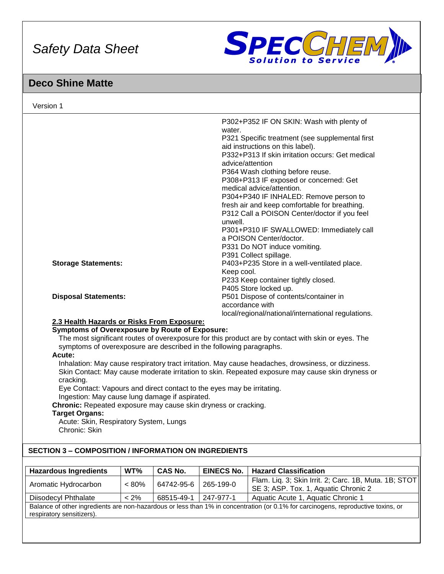

## **Deco Shine Matte**

|                                                                     | P302+P352 IF ON SKIN: Wash with plenty of                                                          |
|---------------------------------------------------------------------|----------------------------------------------------------------------------------------------------|
|                                                                     | water.                                                                                             |
|                                                                     | P321 Specific treatment (see supplemental first                                                    |
|                                                                     | aid instructions on this label).                                                                   |
|                                                                     | P332+P313 If skin irritation occurs: Get medical                                                   |
|                                                                     | advice/attention                                                                                   |
|                                                                     | P364 Wash clothing before reuse.                                                                   |
|                                                                     | P308+P313 IF exposed or concerned: Get                                                             |
|                                                                     | medical advice/attention.                                                                          |
|                                                                     | P304+P340 IF INHALED: Remove person to                                                             |
|                                                                     | fresh air and keep comfortable for breathing.                                                      |
|                                                                     | P312 Call a POISON Center/doctor if you feel                                                       |
|                                                                     | unwell.                                                                                            |
|                                                                     | P301+P310 IF SWALLOWED: Immediately call<br>a POISON Center/doctor.                                |
|                                                                     | P331 Do NOT induce vomiting.                                                                       |
|                                                                     | P391 Collect spillage.                                                                             |
| <b>Storage Statements:</b>                                          | P403+P235 Store in a well-ventilated place.                                                        |
|                                                                     | Keep cool.                                                                                         |
|                                                                     | P233 Keep container tightly closed.                                                                |
|                                                                     | P405 Store locked up.                                                                              |
| <b>Disposal Statements:</b>                                         | P501 Dispose of contents/container in                                                              |
|                                                                     | accordance with                                                                                    |
|                                                                     | local/regional/national/international regulations.                                                 |
| 2.3 Health Hazards or Risks From Exposure:                          |                                                                                                    |
| <b>Symptoms of Overexposure by Route of Exposure:</b>               |                                                                                                    |
|                                                                     | The most significant routes of overexposure for this product are by contact with skin or eyes. The |
| symptoms of overexposure are described in the following paragraphs. |                                                                                                    |
| Acute:                                                              |                                                                                                    |
|                                                                     | Inhalation: May cause respiratory tract irritation. May cause headaches, drowsiness, or dizziness. |
|                                                                     | Skin Contact: May cause moderate irritation to skin. Repeated exposure may cause skin dryness or   |
| cracking.                                                           |                                                                                                    |

Eye Contact: Vapours and direct contact to the eyes may be irritating.

Ingestion: May cause lung damage if aspirated.

**Chronic:** Repeated exposure may cause skin dryness or cracking.

## **Target Organs:**

Acute: Skin, Respiratory System, Lungs Chronic: Skin

## **SECTION 3 – COMPOSITION / INFORMATION ON INGREDIENTS**

| <b>Hazardous Ingredients</b>                                                                                                                                   | WT%      | <b>CAS No.</b> | <b>EINECS No.</b> | <b>Hazard Classification</b>                                                                  |
|----------------------------------------------------------------------------------------------------------------------------------------------------------------|----------|----------------|-------------------|-----------------------------------------------------------------------------------------------|
| Aromatic Hydrocarbon                                                                                                                                           | $< 80\%$ | 64742-95-6     | 265-199-0         | Flam. Liq. 3; Skin Irrit. 2; Carc. 1B, Muta. 1B; STOT<br>SE 3; ASP. Tox. 1, Aquatic Chronic 2 |
| <b>Diisodecyl Phthalate</b>                                                                                                                                    | $< 2\%$  | 68515-49-1     | 247-977-1         | Aquatic Acute 1, Aquatic Chronic 1                                                            |
| Balance of other ingredients are non-hazardous or less than 1% in concentration (or 0.1% for carcinogens, reproductive toxins, or<br>respiratory sensitizers). |          |                |                   |                                                                                               |
|                                                                                                                                                                |          |                |                   |                                                                                               |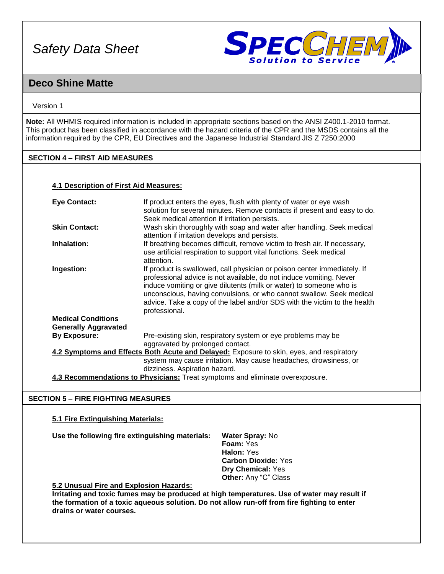

## **Deco Shine Matte**

### Version 1

**Note:** All WHMIS required information is included in appropriate sections based on the ANSI Z400.1-2010 format. This product has been classified in accordance with the hazard criteria of the CPR and the MSDS contains all the information required by the CPR, EU Directives and the Japanese Industrial Standard JIS Z 7250:2000

## **SECTION 4 – FIRST AID MEASURES**

### **4.1 Description of First Aid Measures:**

| <b>Eye Contact:</b>           | If product enters the eyes, flush with plenty of water or eye wash                       |  |  |  |
|-------------------------------|------------------------------------------------------------------------------------------|--|--|--|
|                               | solution for several minutes. Remove contacts if present and easy to do.                 |  |  |  |
|                               | Seek medical attention if irritation persists.                                           |  |  |  |
| <b>Skin Contact:</b>          | Wash skin thoroughly with soap and water after handling. Seek medical                    |  |  |  |
|                               | attention if irritation develops and persists.                                           |  |  |  |
|                               |                                                                                          |  |  |  |
| Inhalation:                   | If breathing becomes difficult, remove victim to fresh air. If necessary,                |  |  |  |
|                               | use artificial respiration to support vital functions. Seek medical                      |  |  |  |
|                               | attention.                                                                               |  |  |  |
| Ingestion:                    | If product is swallowed, call physician or poison center immediately. If                 |  |  |  |
|                               | professional advice is not available, do not induce vomiting. Never                      |  |  |  |
|                               | induce vomiting or give dilutents (milk or water) to someone who is                      |  |  |  |
|                               | unconscious, having convulsions, or who cannot swallow. Seek medical                     |  |  |  |
|                               |                                                                                          |  |  |  |
|                               | advice. Take a copy of the label and/or SDS with the victim to the health                |  |  |  |
|                               | professional.                                                                            |  |  |  |
| <b>Medical Conditions</b>     |                                                                                          |  |  |  |
| <b>Generally Aggravated</b>   |                                                                                          |  |  |  |
| <b>By Exposure:</b>           | Pre-existing skin, respiratory system or eye problems may be                             |  |  |  |
|                               | aggravated by prolonged contact.                                                         |  |  |  |
|                               | 4.2 Symptoms and Effects Both Acute and Delayed: Exposure to skin, eyes, and respiratory |  |  |  |
|                               | system may cause irritation. May cause headaches, drowsiness, or                         |  |  |  |
|                               |                                                                                          |  |  |  |
| dizziness. Aspiration hazard. |                                                                                          |  |  |  |
|                               | 4.3 Recommendations to Physicians: Treat symptoms and eliminate overexposure.            |  |  |  |

## **SECTION 5 – FIRE FIGHTING MEASURES**

## **5.1 Fire Extinguishing Materials:**

**Use the following fire extinguishing materials: Water Spray:** No

**Foam:** Yes **Halon:** Yes **Carbon Dioxide:** Yes **Dry Chemical:** Yes **Other:** Any "C" Class

## **5.2 Unusual Fire and Explosion Hazards:**

**Irritating and toxic fumes may be produced at high temperatures. Use of water may result if the formation of a toxic aqueous solution. Do not allow run-off from fire fighting to enter drains or water courses.**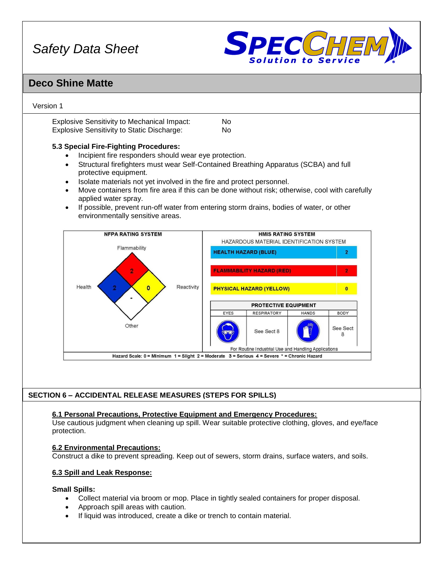

## **Deco Shine Matte**

## Version 1

Explosive Sensitivity to Mechanical Impact: No Explosive Sensitivity to Static Discharge: No

## **5.3 Special Fire-Fighting Procedures:**

- Incipient fire responders should wear eye protection.
- Structural firefighters must wear Self-Contained Breathing Apparatus (SCBA) and full protective equipment.
- Isolate materials not yet involved in the fire and protect personnel.
- Move containers from fire area if this can be done without risk; otherwise, cool with carefully applied water spray.
- If possible, prevent run-off water from entering storm drains, bodies of water, or other environmentally sensitive areas.



## **SECTION 6 – ACCIDENTAL RELEASE MEASURES (STEPS FOR SPILLS)**

#### **6.1 Personal Precautions, Protective Equipment and Emergency Procedures:**

Use cautious judgment when cleaning up spill. Wear suitable protective clothing, gloves, and eye/face protection.

#### **6.2 Environmental Precautions:**

Construct a dike to prevent spreading. Keep out of sewers, storm drains, surface waters, and soils.

## **6.3 Spill and Leak Response:**

#### **Small Spills:**

- Collect material via broom or mop. Place in tightly sealed containers for proper disposal.
- Approach spill areas with caution.
- If liquid was introduced, create a dike or trench to contain material.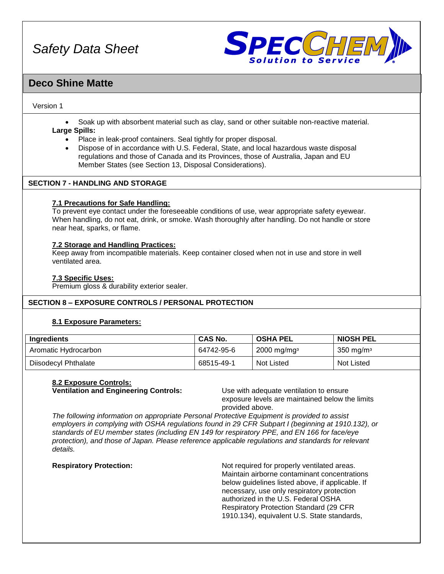

## **Deco Shine Matte**

### Version 1

• Soak up with absorbent material such as clay, sand or other suitable non-reactive material.

### **Large Spills:**

- Place in leak-proof containers. Seal tightly for proper disposal.
- Dispose of in accordance with U.S. Federal, State, and local hazardous waste disposal regulations and those of Canada and its Provinces, those of Australia, Japan and EU Member States (see Section 13, Disposal Considerations).

## **SECTION 7 - HANDLING AND STORAGE**

### **7.1 Precautions for Safe Handling:**

To prevent eye contact under the foreseeable conditions of use, wear appropriate safety eyewear. When handling, do not eat, drink, or smoke. Wash thoroughly after handling. Do not handle or store near heat, sparks, or flame.

### **7.2 Storage and Handling Practices:**

Keep away from incompatible materials. Keep container closed when not in use and store in well ventilated area.

#### **7.3 Specific Uses:**

Premium gloss & durability exterior sealer.

## **SECTION 8 – EXPOSURE CONTROLS / PERSONAL PROTECTION**

## **8.1 Exposure Parameters:**

| Ingredients                 | <b>CAS No.</b> | <b>OSHA PEL</b>           | <b>NIOSH PEL</b> |
|-----------------------------|----------------|---------------------------|------------------|
| Aromatic Hydrocarbon        | 64742-95-6     | $2000$ mg/mg <sup>3</sup> | 350 mg/m $3$     |
| <b>Diisodecyl Phthalate</b> | 68515-49-1     | Not Listed                | Not Listed       |

## **8.2 Exposure Controls:**

**Ventilation and Engineering Controls:** Use with adequate ventilation to ensure

exposure levels are maintained below the limits provided above.

*The following information on appropriate Personal Protective Equipment is provided to assist employers in complying with OSHA regulations found in 29 CFR Subpart I (beginning at 1910.132), or standards of EU member states (including EN 149 for respiratory PPE, and EN 166 for face/eye protection), and those of Japan. Please reference applicable regulations and standards for relevant details.*

**Respiratory Protection:** Not required for properly ventilated areas. Maintain airborne contaminant concentrations below guidelines listed above, if applicable. If necessary, use only respiratory protection authorized in the U.S. Federal OSHA Respiratory Protection Standard (29 CFR 1910.134), equivalent U.S. State standards,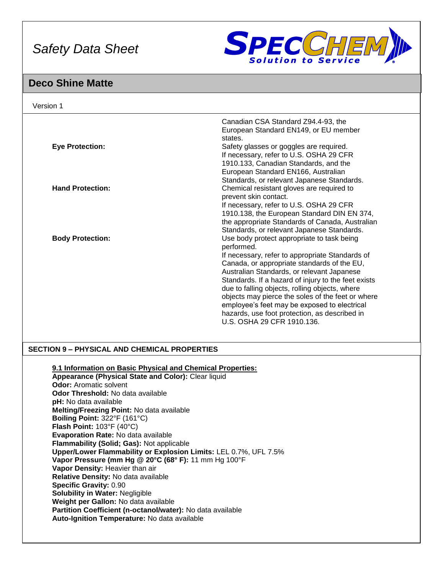

## **Deco Shine Matte**

| Version 1               |                                                                                                                                                                                                                                                                                                                                                                                                                                                                                                       |
|-------------------------|-------------------------------------------------------------------------------------------------------------------------------------------------------------------------------------------------------------------------------------------------------------------------------------------------------------------------------------------------------------------------------------------------------------------------------------------------------------------------------------------------------|
| <b>Eye Protection:</b>  | Canadian CSA Standard Z94.4-93, the<br>European Standard EN149, or EU member<br>states.<br>Safety glasses or goggles are required.<br>If necessary, refer to U.S. OSHA 29 CFR<br>1910.133, Canadian Standards, and the<br>European Standard EN166, Australian                                                                                                                                                                                                                                         |
| <b>Hand Protection:</b> | Standards, or relevant Japanese Standards.<br>Chemical resistant gloves are required to<br>prevent skin contact.<br>If necessary, refer to U.S. OSHA 29 CFR<br>1910.138, the European Standard DIN EN 374,<br>the appropriate Standards of Canada, Australian<br>Standards, or relevant Japanese Standards.                                                                                                                                                                                           |
| <b>Body Protection:</b> | Use body protect appropriate to task being<br>performed.<br>If necessary, refer to appropriate Standards of<br>Canada, or appropriate standards of the EU,<br>Australian Standards, or relevant Japanese<br>Standards. If a hazard of injury to the feet exists<br>due to falling objects, rolling objects, where<br>objects may pierce the soles of the feet or where<br>employee's feet may be exposed to electrical<br>hazards, use foot protection, as described in<br>U.S. OSHA 29 CFR 1910.136. |

## **SECTION 9 – PHYSICAL AND CHEMICAL PROPERTIES**

**9.1 Information on Basic Physical and Chemical Properties:**

**Appearance (Physical State and Color):** Clear liquid **Odor: Aromatic solvent Odor Threshold:** No data available **pH:** No data available **Melting/Freezing Point:** No data available **Boiling Point:** 322°F (161°C) **Flash Point:** 103°F (40°C) **Evaporation Rate:** No data available **Flammability (Solid; Gas):** Not applicable **Upper/Lower Flammability or Explosion Limits:** LEL 0.7%, UFL 7.5% **Vapor Pressure (mm Hg @ 20°C (68° F):** 11 mm Hg 100°F **Vapor Density:** Heavier than air **Relative Density:** No data available **Specific Gravity:** 0.90 **Solubility in Water:** Negligible **Weight per Gallon:** No data available **Partition Coefficient (n-octanol/water):** No data available **Auto-Ignition Temperature:** No data available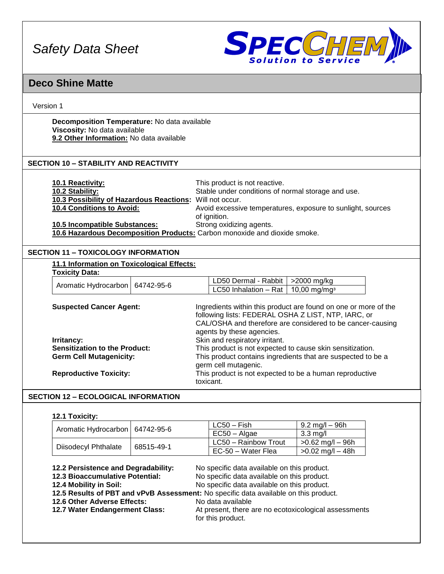

## **Deco Shine Matte**

## Version 1

**Decomposition Temperature:** No data available **Viscosity:** No data available **9.2 Other Information:** No data available

## **SECTION 10 – STABILITY AND REACTIVITY**

| <b>10.1 Reactivity:</b><br>10.2 Stability:                                | This product is not reactive.<br>Stable under conditions of normal storage and use. |
|---------------------------------------------------------------------------|-------------------------------------------------------------------------------------|
| 10.3 Possibility of Hazardous Reactions: Will not occur.                  |                                                                                     |
| <b>10.4 Conditions to Avoid:</b>                                          | Avoid excessive temperatures, exposure to sunlight, sources                         |
|                                                                           | of ignition.                                                                        |
| <b>10.5 Incompatible Substances:</b>                                      | Strong oxidizing agents.                                                            |
| 10.6 Hazardous Decomposition Products: Carbon monoxide and dioxide smoke. |                                                                                     |

## **SECTION 11 – TOXICOLOGY INFORMATION**

| 11.1 Information on Toxicological Effects:                                                                                                              |            |                                                                                                                                                                                                                                                                                                                                                                                                                                                                     |                          |  |
|---------------------------------------------------------------------------------------------------------------------------------------------------------|------------|---------------------------------------------------------------------------------------------------------------------------------------------------------------------------------------------------------------------------------------------------------------------------------------------------------------------------------------------------------------------------------------------------------------------------------------------------------------------|--------------------------|--|
| <b>Toxicity Data:</b>                                                                                                                                   |            |                                                                                                                                                                                                                                                                                                                                                                                                                                                                     |                          |  |
| Aromatic Hydrocarbon                                                                                                                                    | 64742-95-6 | LD50 Dermal - Rabbit                                                                                                                                                                                                                                                                                                                                                                                                                                                | $>2000$ mg/kg            |  |
|                                                                                                                                                         |            | LC50 Inhalation - Rat                                                                                                                                                                                                                                                                                                                                                                                                                                               | 10,00 mg/mg <sup>3</sup> |  |
| <b>Suspected Cancer Agent:</b><br>Irritancy:<br><b>Sensitization to the Product:</b><br><b>Germ Cell Mutagenicity:</b><br><b>Reproductive Toxicity:</b> |            | Ingredients within this product are found on one or more of the<br>following lists: FEDERAL OSHA Z LIST, NTP, IARC, or<br>CAL/OSHA and therefore are considered to be cancer-causing<br>agents by these agencies.<br>Skin and respiratory irritant.<br>This product is not expected to cause skin sensitization.<br>This product contains ingredients that are suspected to be a<br>germ cell mutagenic.<br>This product is not expected to be a human reproductive |                          |  |

## **SECTION 12 – ECOLOGICAL INFORMATION**

### **12.1 Toxicity:**

|                                                                                                                                                                                                                                                                  |            | $LC50 - Fish$                                                                                                                                                                                                                                | $9.2 \text{ mg/l} - 96 \text{h}$ |
|------------------------------------------------------------------------------------------------------------------------------------------------------------------------------------------------------------------------------------------------------------------|------------|----------------------------------------------------------------------------------------------------------------------------------------------------------------------------------------------------------------------------------------------|----------------------------------|
| Aromatic Hydrocarbon<br>64742-95-6                                                                                                                                                                                                                               |            | $EC50 - Algae$                                                                                                                                                                                                                               | $3.3 \text{ mg/l}$               |
|                                                                                                                                                                                                                                                                  | 68515-49-1 | LC50 - Rainbow Trout                                                                                                                                                                                                                         | $>0.62$ mg/l $-$ 96h             |
| Diisodecyl Phthalate                                                                                                                                                                                                                                             |            | EC-50 - Water Flea                                                                                                                                                                                                                           | $>0.02$ mg/l $-48h$              |
| 12.2 Persistence and Degradability:<br><b>12.3 Bioaccumulative Potential:</b><br>12.4 Mobility in Soil:<br>12.5 Results of PBT and vPvB Assessment: No specific data available on this product.<br>12.6 Other Adverse Effects:<br>12.7 Water Endangerment Class: |            | No specific data available on this product.<br>No specific data available on this product.<br>No specific data available on this product.<br>No data available<br>At present, there are no ecotoxicological assessments<br>for this product. |                                  |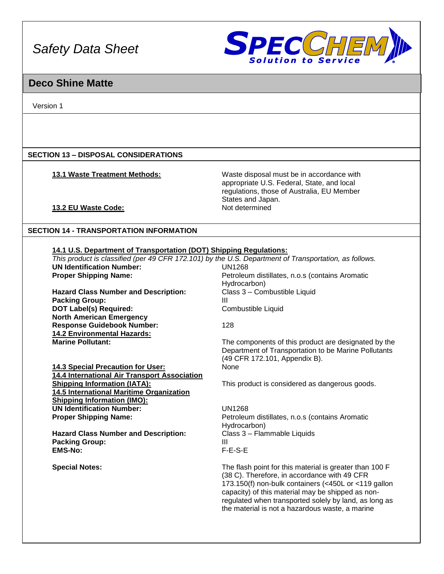

## **Deco Shine Matte**

Version 1

## **SECTION 13 – DISPOSAL CONSIDERATIONS**

**13.1 Waste Treatment Methods:** Waste disposal must be in accordance with appropriate U.S. Federal, State, and local regulations, those of Australia, EU Member States and Japan.<br>Not determined

**13.2 EU Waste Code:** 

## **SECTION 14 - TRANSPORTATION INFORMATION**

**14.4 International Air Transport Association** 

**14.5 International Maritime Organization** 

**Shipping Information (IMO):**

**EMS-No:** 

| 14.1 U.S. Department of Transportation (DOT) Shipping Regulations:                                    |                                                 |  |  |  |
|-------------------------------------------------------------------------------------------------------|-------------------------------------------------|--|--|--|
| This product is classified (per 49 CFR 172.101) by the U.S. Department of Transportation, as follows. |                                                 |  |  |  |
| <b>UN Identification Number:</b>                                                                      | UN1268                                          |  |  |  |
| <b>Proper Shipping Name:</b>                                                                          | Petroleum distillates, n.o.s (contains Aromatic |  |  |  |
|                                                                                                       | Hydrocarbon)                                    |  |  |  |
| <b>Hazard Class Number and Description:</b>                                                           | Class 3 - Combustible Liquid                    |  |  |  |
| <b>Packing Group:</b>                                                                                 | Ш                                               |  |  |  |
| <b>DOT Label(s) Required:</b>                                                                         | Combustible Liquid                              |  |  |  |
| <b>North American Emergency</b>                                                                       |                                                 |  |  |  |
| <b>Response Guidebook Number:</b>                                                                     | 128                                             |  |  |  |
| <b>14.2 Environmental Hazards:</b>                                                                    |                                                 |  |  |  |

**Marine Pollutant: The components of this product are designated by the Marine Pollutant:** Department of Transportation to be Marine Pollutants (49 CFR 172.101, Appendix B). **14.3 Special Precaution for User:** None

This product is considered as dangerous goods.

**UN Identification Number:** UN1268 **Proper Shipping Name: Proper Shipping Name:** Petroleum distillates, n.o.s (contains Aromatic Hydrocarbon) Hazard Class Number and Description: Class 3 – Flammable Liquids **Packing Group:** III

**Special Notes:** The flash point for this material is greater than 100 F (38 C). Therefore, in accordance with 49 CFR 173.150(f) non-bulk containers (<450L or <119 gallon capacity) of this material may be shipped as nonregulated when transported solely by land, as long as the material is not a hazardous waste, a marine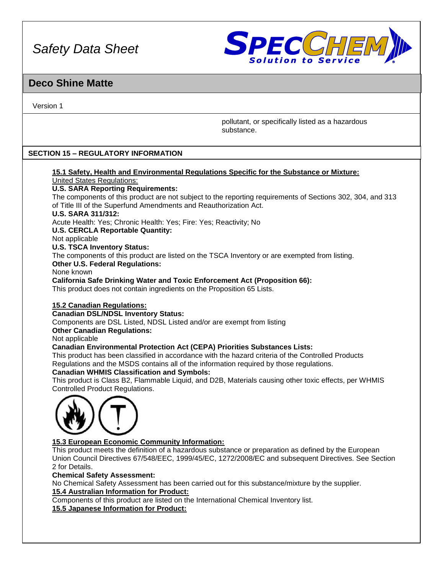

## **Deco Shine Matte**

Version 1

pollutant, or specifically listed as a hazardous substance.

## **SECTION 15 – REGULATORY INFORMATION**

#### **15.1 Safety, Health and Environmental Regulations Specific for the Substance or Mixture:** United States Regulations:

## **U.S. SARA Reporting Requirements:**

The components of this product are not subject to the reporting requirements of Sections 302, 304, and 313 of Title III of the Superfund Amendments and Reauthorization Act.

#### **U.S. SARA 311/312:**

Acute Health: Yes; Chronic Health: Yes; Fire: Yes; Reactivity; No

## **U.S. CERCLA Reportable Quantity:**

Not applicable

## **U.S. TSCA Inventory Status:**

The components of this product are listed on the TSCA Inventory or are exempted from listing. **Other U.S. Federal Regulations:**

None known

**California Safe Drinking Water and Toxic Enforcement Act (Proposition 66):**

This product does not contain ingredients on the Proposition 65 Lists.

## **15.2 Canadian Regulations:**

#### **Canadian DSL/NDSL Inventory Status:**

Components are DSL Listed, NDSL Listed and/or are exempt from listing

#### **Other Canadian Regulations:**

Not applicable

## **Canadian Environmental Protection Act (CEPA) Priorities Substances Lists:**

This product has been classified in accordance with the hazard criteria of the Controlled Products Regulations and the MSDS contains all of the information required by those regulations.

## **Canadian WHMIS Classification and Symbols:**

This product is Class B2, Flammable Liquid, and D2B, Materials causing other toxic effects, per WHMIS Controlled Product Regulations.



## **15.3 European Economic Community Information:**

This product meets the definition of a hazardous substance or preparation as defined by the European Union Council Directives 67/548/EEC, 1999/45/EC, 1272/2008/EC and subsequent Directives. See Section 2 for Details.

#### **Chemical Safety Assessment:**

No Chemical Safety Assessment has been carried out for this substance/mixture by the supplier. **15.4 Australian Information for Product:**

Components of this product are listed on the International Chemical Inventory list. **15.5 Japanese Information for Product:**